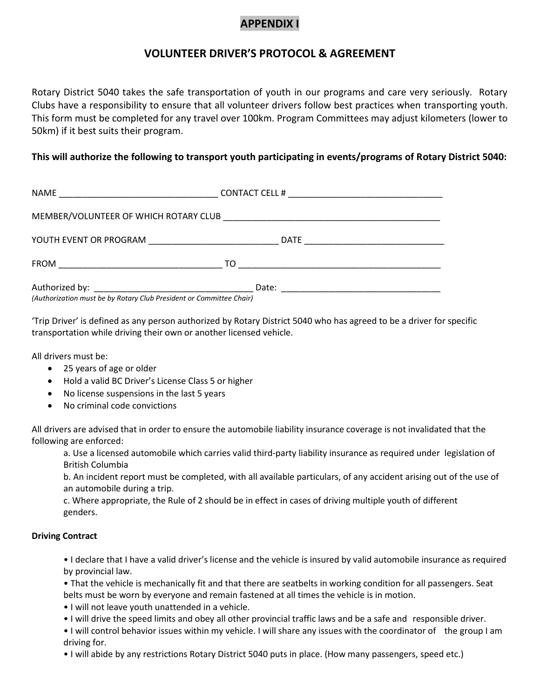## **APPENDIX I**

## **VOLUNTEER DRIVER'S PROTOCOL & AGREEMENT**

Rotary District 5040 takes the safe transportation of youth in our programs and care very seriously. Rotary Clubs have a responsibility to ensure that all volunteer drivers follow best practices when transporting youth. This form must be completed for any travel over 100km. Program Committees may adjust kilometers (lower to 50km) if it best suits their program.

## **This will authorize the following to transport youth participating in events/programs of Rotary District 5040:**

| (Authorization must be by Rotary Club President or Committee Chair) |  |
|---------------------------------------------------------------------|--|

'Trip Driver' is defined as any person authorized by Rotary District 5040 who has agreed to be a driver for specific transportation while driving their own or another licensed vehicle.

All drivers must be:

- 25 years of age or older
- Hold a valid BC Driver's License Class 5 or higher
- No license suspensions in the last 5 years
- No criminal code convictions

All drivers are advised that in order to ensure the automobile liability insurance coverage is not invalidated that the following are enforced:

a. Use a licensed automobile which carries valid third-party liability insurance as required under legislation of British Columbia

b. An incident report must be completed, with all available particulars, of any accident arising out of the use of an automobile during a trip.

c. Where appropriate, the Rule of 2 should be in effect in cases of driving multiple youth of different genders.

## **Driving Contract**

• I declare that I have a valid driver's license and the vehicle is insured by valid automobile insurance as required by provincial law.

• That the vehicle is mechanically fit and that there are seatbelts in working condition for all passengers. Seat belts must be worn by everyone and remain fastened at all times the vehicle is in motion.

- I will not leave youth unattended in a vehicle.
- I will drive the speed limits and obey all other provincial traffic laws and be a safe and responsible driver.

• I will control behavior issues within my vehicle. I will share any issues with the coordinator of the group I am driving for.

• I will abide by any restrictions Rotary District 5040 puts in place. (How many passengers, speed etc.)